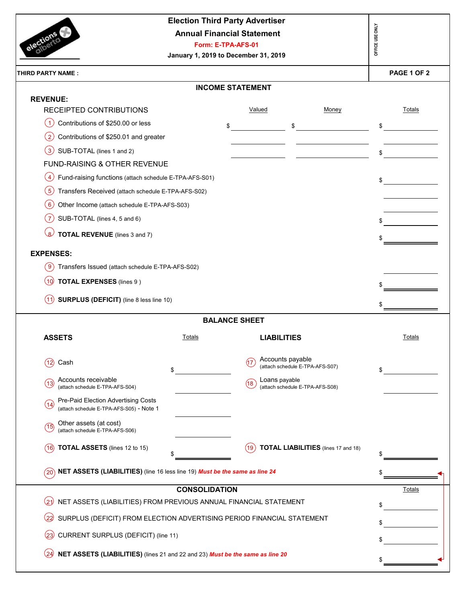|                                                                                             | <b>Election Third Party Advertiser</b><br><b>Annual Financial Statement</b><br>Form: E-TPA-AFS-01<br>January 1, 2019 to December 31, 2019 |                      |                                                     | OFFICE USE ONLY |
|---------------------------------------------------------------------------------------------|-------------------------------------------------------------------------------------------------------------------------------------------|----------------------|-----------------------------------------------------|-----------------|
| <b>THIRD PARTY NAME:</b>                                                                    |                                                                                                                                           |                      |                                                     | PAGE 1 OF 2     |
|                                                                                             | <b>INCOME STATEMENT</b>                                                                                                                   |                      |                                                     |                 |
| <b>REVENUE:</b>                                                                             |                                                                                                                                           |                      |                                                     |                 |
| RECEIPTED CONTRIBUTIONS<br>Contributions of \$250.00 or less<br>$\blacktriangleleft$        |                                                                                                                                           | Valued               | Money                                               | Totals          |
| $\left( 2\right)$                                                                           | \$                                                                                                                                        |                      | \$                                                  | \$              |
| Contributions of \$250.01 and greater<br>$\left( 3\right)$<br>SUB-TOTAL (lines 1 and 2)     |                                                                                                                                           |                      |                                                     |                 |
| FUND-RAISING & OTHER REVENUE                                                                |                                                                                                                                           |                      |                                                     | \$              |
| Fund-raising functions (attach schedule E-TPA-AFS-S01)<br>$\overline{4}$                    |                                                                                                                                           |                      |                                                     |                 |
| $\overline{5}$<br>Transfers Received (attach schedule E-TPA-AFS-S02)                        |                                                                                                                                           |                      |                                                     | \$              |
| (6)<br>Other Income (attach schedule E-TPA-AFS-S03)                                         |                                                                                                                                           |                      |                                                     |                 |
| $\left(7\right)$<br>SUB-TOTAL (lines 4, 5 and 6)                                            |                                                                                                                                           |                      |                                                     |                 |
| $\overline{\mathbf{8}}$                                                                     |                                                                                                                                           |                      |                                                     |                 |
| TOTAL REVENUE (lines 3 and 7)                                                               |                                                                                                                                           |                      |                                                     |                 |
| <b>EXPENSES:</b>                                                                            |                                                                                                                                           |                      |                                                     |                 |
| ้ 9<br>Transfers Issued (attach schedule E-TPA-AFS-S02)                                     |                                                                                                                                           |                      |                                                     |                 |
| <b>TOTAL EXPENSES</b> (lines 9)<br>(10)                                                     |                                                                                                                                           |                      |                                                     |                 |
| SURPLUS (DEFICIT) (line 8 less line 10)<br>(11                                              |                                                                                                                                           |                      |                                                     | \$              |
|                                                                                             | <b>BALANCE SHEET</b>                                                                                                                      |                      |                                                     |                 |
| <b>ASSETS</b>                                                                               | Totals                                                                                                                                    | <b>LIABILITIES</b>   |                                                     | Totals          |
| Cash<br>(12)<br>\$                                                                          |                                                                                                                                           | (17                  | Accounts payable<br>(attach schedule E-TPA-AFS-S07) | \$              |
| Accounts receivable<br>(13)<br>(attach schedule E-TPA-AFS-S04)                              |                                                                                                                                           | Loans payable<br>(18 | (attach schedule E-TPA-AFS-S08)                     |                 |
| Pre-Paid Election Advertising Costs<br>(14)<br>(attach schedule E-TPA-AFS-S05) - Note 1     |                                                                                                                                           |                      |                                                     |                 |
| Other assets (at cost)<br>(15)<br>(attach schedule E-TPA-AFS-S06)                           |                                                                                                                                           |                      |                                                     |                 |
| <b>TOTAL ASSETS</b> (lines 12 to 15)<br>(16)                                                |                                                                                                                                           | (19)                 | <b>TOTAL LIABILITIES</b> (lines 17 and 18)          |                 |
| NET ASSETS (LIABILITIES) (line 16 less line 19) Must be the same as line 24<br>$20^{\circ}$ |                                                                                                                                           |                      |                                                     |                 |
|                                                                                             | <b>CONSOLIDATION</b>                                                                                                                      |                      |                                                     | Totals          |
| NET ASSETS (LIABILITIES) FROM PREVIOUS ANNUAL FINANCIAL STATEMENT<br>(21                    |                                                                                                                                           |                      |                                                     | \$              |
| SURPLUS (DEFICIT) FROM ELECTION ADVERTISING PERIOD FINANCIAL STATEMENT<br>(22               |                                                                                                                                           |                      |                                                     | \$              |
| CURRENT SURPLUS (DEFICIT) (line 11)<br>(23)                                                 |                                                                                                                                           |                      |                                                     |                 |
| NET ASSETS (LIABILITIES) (lines 21 and 22 and 23) Must be the same as line 20<br>(24)       |                                                                                                                                           |                      |                                                     |                 |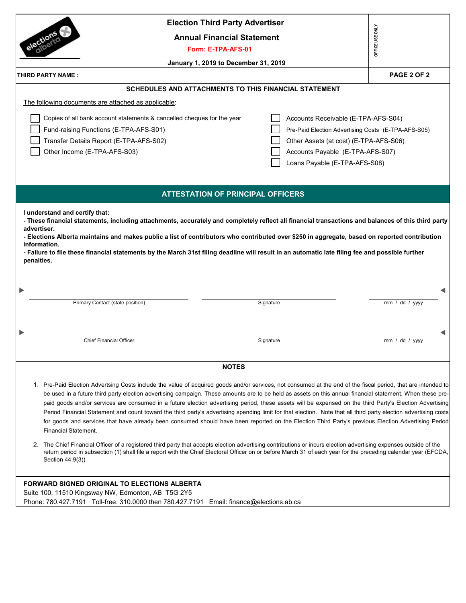| <b>Election Third Party Advertiser</b>                                                                                                                                                                                                                                                                                                  |                                                     |
|-----------------------------------------------------------------------------------------------------------------------------------------------------------------------------------------------------------------------------------------------------------------------------------------------------------------------------------------|-----------------------------------------------------|
| <b>Annual Financial Statement</b>                                                                                                                                                                                                                                                                                                       | OFFICE USE ONLY                                     |
| Form: E-TPA-AFS-01                                                                                                                                                                                                                                                                                                                      |                                                     |
| January 1, 2019 to December 31, 2019                                                                                                                                                                                                                                                                                                    |                                                     |
| THIRD PARTY NAME :                                                                                                                                                                                                                                                                                                                      | PAGE 2 OF 2                                         |
| <b>SCHEDULES AND ATTACHMENTS TO THIS FINANCIAL STATEMENT</b>                                                                                                                                                                                                                                                                            |                                                     |
| The following documents are attached as applicable:                                                                                                                                                                                                                                                                                     |                                                     |
| Copies of all bank account statements & cancelled cheques for the year                                                                                                                                                                                                                                                                  | Accounts Receivable (E-TPA-AFS-S04)                 |
| Fund-raising Functions (E-TPA-AFS-S01)                                                                                                                                                                                                                                                                                                  | Pre-Paid Election Advertising Costs (E-TPA-AFS-S05) |
| Transfer Details Report (E-TPA-AFS-S02)                                                                                                                                                                                                                                                                                                 | Other Assets (at cost) (E-TPA-AFS-S06)              |
| Other Income (E-TPA-AFS-S03)<br>Accounts Payable (E-TPA-AFS-S07)                                                                                                                                                                                                                                                                        |                                                     |
| Loans Payable (E-TPA-AFS-S08)                                                                                                                                                                                                                                                                                                           |                                                     |
|                                                                                                                                                                                                                                                                                                                                         |                                                     |
|                                                                                                                                                                                                                                                                                                                                         |                                                     |
| <b>ATTESTATION OF PRINCIPAL OFFICERS</b>                                                                                                                                                                                                                                                                                                |                                                     |
| I understand and certify that:                                                                                                                                                                                                                                                                                                          |                                                     |
| - These financial statements, including attachments, accurately and completely reflect all financial transactions and balances of this third party                                                                                                                                                                                      |                                                     |
| advertiser.                                                                                                                                                                                                                                                                                                                             |                                                     |
| - Elections Alberta maintains and makes public a list of contributors who contributed over \$250 in aggregate, based on reported contribution<br>information.                                                                                                                                                                           |                                                     |
| - Failure to file these financial statements by the March 31st filing deadline will result in an automatic late filing fee and possible further                                                                                                                                                                                         |                                                     |
| penalties.                                                                                                                                                                                                                                                                                                                              |                                                     |
|                                                                                                                                                                                                                                                                                                                                         |                                                     |
|                                                                                                                                                                                                                                                                                                                                         |                                                     |
|                                                                                                                                                                                                                                                                                                                                         |                                                     |
| Primary Contact (state position)<br>Signature                                                                                                                                                                                                                                                                                           | $\overline{mm}$ / dd / yyyy                         |
|                                                                                                                                                                                                                                                                                                                                         |                                                     |
|                                                                                                                                                                                                                                                                                                                                         |                                                     |
| <b>Chief Financial Officer</b><br>Signature                                                                                                                                                                                                                                                                                             | mm / dd / yyyy                                      |
|                                                                                                                                                                                                                                                                                                                                         |                                                     |
| <b>NOTES</b>                                                                                                                                                                                                                                                                                                                            |                                                     |
|                                                                                                                                                                                                                                                                                                                                         |                                                     |
| 1. Pre-Paid Election Advertsing Costs include the value of acquired goods and/or services, not consumed at the end of the fiscal period, that are intended to                                                                                                                                                                           |                                                     |
| be used in a future third party election advertising campaign. These amounts are to be held as assets on this annual financial statement. When these pre-                                                                                                                                                                               |                                                     |
| paid goods and/or services are consumed in a future election advertising period, these assets will be expensed on the third Party's Election Advertising                                                                                                                                                                                |                                                     |
| Period Financial Statement and count toward the third party's advertising spending limit for that election. Note that all third party election advertising costs<br>for goods and services that have already been consumed should have been reported on the Election Third Party's previous Election Advertising Period                 |                                                     |
| <b>Financial Statement.</b>                                                                                                                                                                                                                                                                                                             |                                                     |
|                                                                                                                                                                                                                                                                                                                                         |                                                     |
| The Chief Financial Officer of a registered third party that accepts election advertising contributions or incurs election advertising expenses outside of the<br>2.<br>return period in subsection (1) shall file a report with the Chief Electoral Officer on or before March 31 of each year for the preceding calendar year (EFCDA, |                                                     |
| Section 44.9(3)).                                                                                                                                                                                                                                                                                                                       |                                                     |
|                                                                                                                                                                                                                                                                                                                                         |                                                     |
| <b>FORWARD SIGNED ORIGINAL TO ELECTIONS ALBERTA</b>                                                                                                                                                                                                                                                                                     |                                                     |
| Suite 100, 11510 Kingsway NW, Edmonton, AB T5G 2Y5                                                                                                                                                                                                                                                                                      |                                                     |
|                                                                                                                                                                                                                                                                                                                                         |                                                     |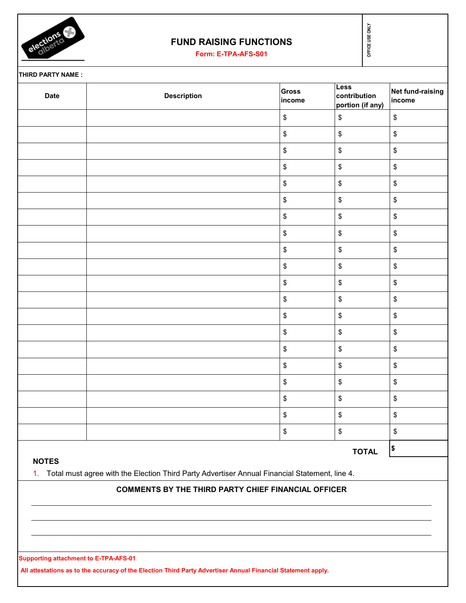

## **FUND RAISING FUNCTIONS**

| <b>Date</b>  | <b>Description</b>                                                                               | <b>Gross</b><br>income | <b>Less</b><br>contribution<br>portion (if any) | Net fund-raising<br>income                        |
|--------------|--------------------------------------------------------------------------------------------------|------------------------|-------------------------------------------------|---------------------------------------------------|
|              |                                                                                                  | \$                     | \$                                              | \$                                                |
|              |                                                                                                  | \$                     | \$                                              | \$                                                |
|              |                                                                                                  | \$                     | \$                                              | \$                                                |
|              |                                                                                                  | \$                     | \$                                              | \$                                                |
|              |                                                                                                  | \$                     | \$                                              | \$                                                |
|              |                                                                                                  | \$                     | \$                                              | \$                                                |
|              |                                                                                                  | \$                     | \$                                              | \$                                                |
|              |                                                                                                  | \$                     | \$                                              | \$                                                |
|              |                                                                                                  | \$                     | \$                                              | \$                                                |
|              |                                                                                                  | \$                     | \$                                              | \$                                                |
|              |                                                                                                  | \$                     | \$                                              | \$                                                |
|              |                                                                                                  | \$                     | \$                                              | \$                                                |
|              |                                                                                                  | \$                     | \$                                              | \$                                                |
|              |                                                                                                  | \$                     | \$                                              | \$                                                |
|              |                                                                                                  | \$                     | \$                                              | \$                                                |
|              |                                                                                                  | \$                     | \$                                              | $\, \, \raisebox{-1.5pt}{\text{\circle*{1.5}}}\,$ |
|              |                                                                                                  | \$                     | \$                                              | \$                                                |
|              |                                                                                                  | \$                     | \$                                              | $\,$                                              |
|              |                                                                                                  | \$                     | \$                                              | $\,$                                              |
|              |                                                                                                  | \$                     | \$                                              | \$                                                |
|              |                                                                                                  |                        | <b>TOTAL</b>                                    | \$                                                |
| <b>NOTES</b> | 1. Total must agree with the Election Third Party Advertiser Annual Financial Statement, line 4. |                        |                                                 |                                                   |
|              | <b>COMMENTS BY THE THIRD PARTY CHIEF FINANCIAL OFFICER</b>                                       |                        |                                                 |                                                   |
|              |                                                                                                  |                        |                                                 |                                                   |
|              |                                                                                                  |                        |                                                 |                                                   |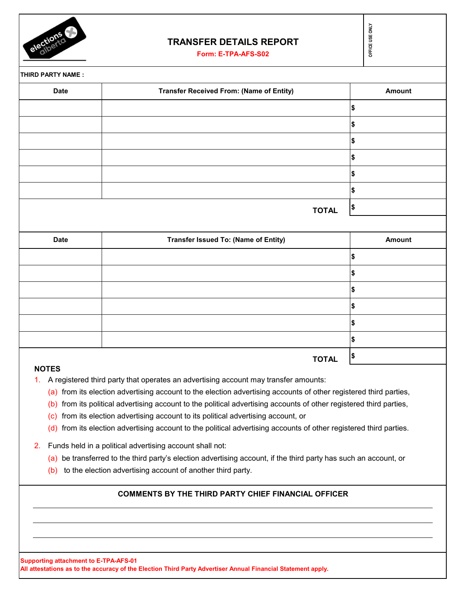

### **TRANSFER DETAILS REPORT**

**Form: E-TPA-AFS-S02**

|  | ű |
|--|---|
|  |   |
|  |   |
|  |   |

**THIRD PARTY NAME : \$ \$ \$ \$ \$ \$ TOTAL \$ \$ \$ \$ \$ \$ \$ Date Transfer Issued To: (Name of Entity) Amount Amount DREAMBLE TRANSFER DETAILS REPORT<br>
Form: E-TPA-AFS-S02<br>
TY NAME :<br>
Date Transfer Received From: (Name of Entity) Amount** 

# **TOTAL \$**

#### **NOTES**

- 1. A registered third party that operates an advertising account may transfer amounts:
	- (a) from its election advertising account to the election advertising accounts of other registered third parties,
	- (b) from its political advertising account to the political advertising accounts of other registered third parties,
	- (c) from its election advertising account to its political advertising account, or
	- (d) from its election advertising account to the political advertising accounts of other registered third parties.
- 2. Funds held in a political advertising account shall not:
	- (a) be transferred to the third party's election advertising account, if the third party has such an account, or
	- (b) to the election advertising account of another third party.

### **COMMENTS BY THE THIRD PARTY CHIEF FINANCIAL OFFICER**

**Supporting attachment to E-TPA-AFS-01 All attestations as to the accuracy of the Election Third Party Advertiser Annual Financial Statement apply.**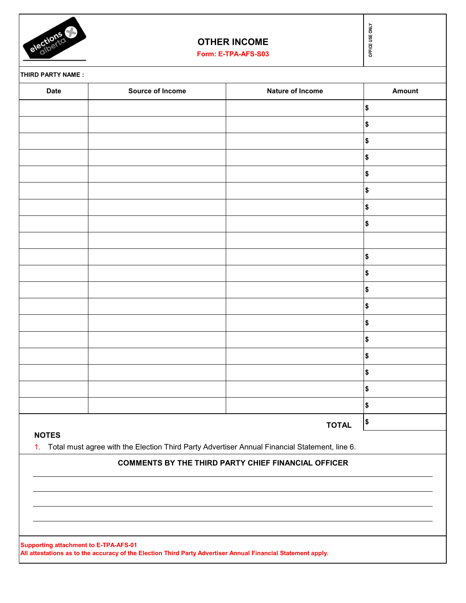

# **OTHER INCOME**

| elections         | <b>OTHER INCOME</b><br>Form: E-TPA-AFS-S03                                                       |                                                            | OFFICE USE ONLY |  |
|-------------------|--------------------------------------------------------------------------------------------------|------------------------------------------------------------|-----------------|--|
| THIRD PARTY NAME: |                                                                                                  |                                                            |                 |  |
| <b>Date</b>       | Source of Income                                                                                 | Nature of Income                                           | Amount          |  |
|                   |                                                                                                  |                                                            | \$              |  |
|                   |                                                                                                  |                                                            | \$              |  |
|                   |                                                                                                  |                                                            | \$              |  |
|                   |                                                                                                  |                                                            | \$              |  |
|                   |                                                                                                  |                                                            | \$              |  |
|                   |                                                                                                  |                                                            | \$              |  |
|                   |                                                                                                  |                                                            | \$              |  |
|                   |                                                                                                  |                                                            | \$              |  |
|                   |                                                                                                  |                                                            |                 |  |
|                   |                                                                                                  |                                                            | \$              |  |
|                   |                                                                                                  |                                                            | \$              |  |
|                   |                                                                                                  |                                                            | \$              |  |
|                   |                                                                                                  |                                                            | \$              |  |
|                   |                                                                                                  |                                                            | \$              |  |
|                   |                                                                                                  |                                                            | \$              |  |
|                   |                                                                                                  |                                                            | \$              |  |
|                   |                                                                                                  |                                                            | \$              |  |
|                   |                                                                                                  |                                                            | \$              |  |
|                   |                                                                                                  |                                                            | \$              |  |
|                   |                                                                                                  | <b>TOTAL</b>                                               | \$              |  |
| <b>NOTES</b>      | 1. Total must agree with the Election Third Party Advertiser Annual Financial Statement, line 6. |                                                            |                 |  |
|                   |                                                                                                  | <b>COMMENTS BY THE THIRD PARTY CHIEF FINANCIAL OFFICER</b> |                 |  |
|                   |                                                                                                  |                                                            |                 |  |
|                   |                                                                                                  |                                                            |                 |  |
|                   |                                                                                                  |                                                            |                 |  |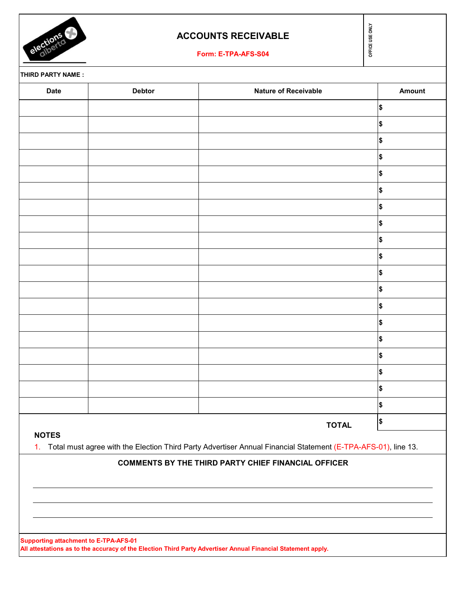

## **ACCOUNTS RECEIVABLE**

**Form: E-TPA-AFS-S04**

**THIRD PARTY NAME :**

| <b>Date</b> | <b>Debtor</b> | Nature of Receivable | Amount     |
|-------------|---------------|----------------------|------------|
|             |               |                      | $\pmb{\$}$ |
|             |               |                      | $\pmb{\$}$ |
|             |               |                      | $\pmb{\$}$ |
|             |               |                      | $\pmb{\$}$ |
|             |               |                      | $\pmb{\$}$ |
|             |               |                      | $\pmb{\$}$ |
|             |               |                      | \$         |
|             |               |                      | $\pmb{\$}$ |
|             |               |                      | \$         |
|             |               |                      | $\pmb{\$}$ |
|             |               |                      | \$         |
|             |               |                      | $\pmb{\$}$ |
|             |               |                      | \$         |
|             |               |                      | $\pmb{\$}$ |
|             |               |                      | \$         |
|             |               |                      | $\pmb{\$}$ |
|             |               |                      | $\pmb{\$}$ |
|             |               |                      | $\pmb{\$}$ |
|             |               |                      | $\pmb{\$}$ |
|             |               | <b>TOTAL</b>         | \$         |

### **NOTES**

1. Total must agree with the Election Third Party Advertiser Annual Financial Statement (E-TPA-AFS-01), line 13.

## **COMMENTS BY THE THIRD PARTY CHIEF FINANCIAL OFFICER**

**Supporting attachment to E-TPA-AFS-01 All attestations as to the accuracy of the Election Third Party Advertiser Annual Financial Statement apply.** OFFICE USE ONLY **OFFICE USE ONLY**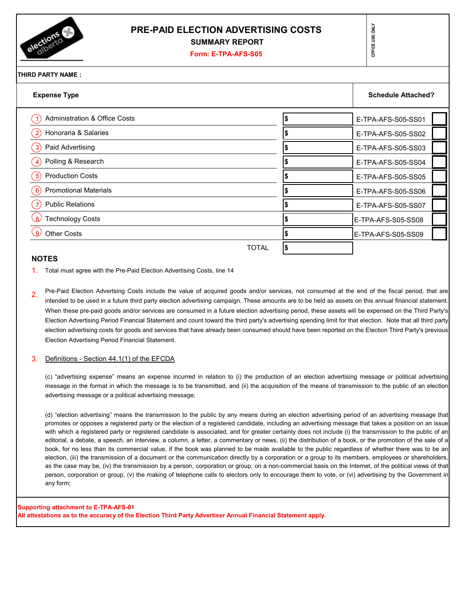

### **PRE-PAID ELECTION ADVERTISING COSTS SUMMARY REPORT**

#### **Form: E-TPA-AFS-S05**

|  | ÷<br>۰ |
|--|--------|
|  |        |
|  | ı      |
|  | J      |
|  |        |
|  |        |
|  | l      |
|  |        |
|  |        |
|  | г      |
|  |        |
|  |        |

### **THIRD PARTY NAME :**

| <b>Expense Type</b>                          | <b>Schedule Attached?</b> |
|----------------------------------------------|---------------------------|
| <b>Administration &amp; Office Costs</b>     | E-TPA-AFS-S05-SS01        |
| Honoraria & Salaries                         | E-TPA-AFS-S05-SS02        |
| Paid Advertising<br>3)                       | E-TPA-AFS-S05-SS03        |
| Polling & Research<br>$\vert 4 \rangle$      | E-TPA-AFS-S05-SS04        |
| <b>Production Costs</b><br>$\vert 5 \rangle$ | E-TPA-AFS-S05-SS05        |
| <b>Promotional Materials</b><br>$6^{\circ}$  | E-TPA-AFS-S05-SS06        |
| <b>Public Relations</b>                      | E-TPA-AFS-S05-SS07        |
| <b>Technology Costs</b><br>$\mathsf{R}$      | E-TPA-AFS-S05-SS08        |
| <b>Other Costs</b><br>-9)                    | E-TPA-AFS-S05-SS09        |
| <b>TOTAL</b>                                 |                           |

#### **NOTES**

- 1. Total must agree with the Pre-Paid Election Advertising Costs, line 14
- 2. Pre-Paid Election Advertsing Costs include the value of acquired goods and/or services, not consumed at the end of the fiscal period, that are intended to be used in a future third party election advertising campaign. These amounts are to be held as assets on this annual financial statement. When these pre-paid goods and/or services are consumed in a future election advertising period, these assets will be expensed on the Third Party's Election Advertising Period Financial Statement and count toward the third party's advertising spending limit for that election. Note that all third party election advertising costs for goods and services that have already been consumed should have been reported on the Election Third Party's previous Election Advertising Period Financial Statement.

#### 3. Definitions - Section 44.1(1) of the EFCDA

(c) "advertising expense" means an expense incurred in relation to (i) the production of an election advertising message or political advertising message in the format in which the message is to be transmitted, and (ii) the acquisition of the means of transmission to the public of an election advertising message or a political advertising message;

(d) "election advertising" means the transmission to the public by any means during an election advertising period of an advertising message that promotes or opposes a registered party or the election of a registered candidate, including an advertising message that takes a position on an issue with which a registered party or registered candidate is associated, and for greater certainty does not include (i) the transmission to the public of an editorial, a debate, a speech, an interview, a column, a letter, a commentary or news, (ii) the distribution of a book, or the promotion of the sale of a book, for no less than its commercial value, if the book was planned to be made available to the public regardless of whether there was to be an election, (iii) the transmission of a document or the communication directly by a corporation or a group to its members, employees or shareholders, as the case may be, (iv) the transmission by a person, corporation or group, on a non-commercial basis on the Internet, of the political views of that person, corporation or group, (v) the making of telephone calls to electors only to encourage them to vote, or (vi) advertising by the Government in any form;

#### **Supporting attachment to E-TPA-AFS-01**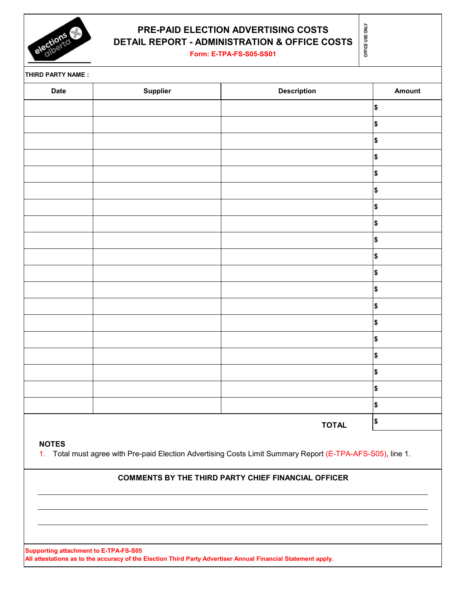

# **PRE-PAID ELECTION ADVERTISING COSTS DETAIL REPORT - ADMINISTRATION & OFFICE COST**

**Form: E-TPA-FS-S05-SS01**

|  | 중<br>us≡<br>뽇<br>π |
|--|--------------------|
|--|--------------------|

**THIRD PARTY NAME :**

| Date | Supplier | <b>Description</b> | Amount                |
|------|----------|--------------------|-----------------------|
|      |          |                    | $$\mathsf{S}$$        |
|      |          |                    | \$                    |
|      |          |                    | $$\mathsf{S}$$        |
|      |          |                    | $\boldsymbol{\$}$     |
|      |          |                    | \$                    |
|      |          |                    | $\boldsymbol{\$}$     |
|      |          |                    | $$\mathsf{S}$$        |
|      |          |                    | $\blacktriangleright$ |
|      |          |                    | \$                    |
|      |          |                    | $\boldsymbol{\$}$     |
|      |          |                    | $$\mathsf{S}$$        |
|      |          |                    | $\boldsymbol{\$}$     |
|      |          |                    | $\boldsymbol{\$}$     |
|      |          |                    | $$\mathsf{S}$$        |
|      |          |                    | $\pmb{\$}$            |
|      |          |                    | \$                    |
|      |          |                    | $\boldsymbol{\$}$     |
|      |          |                    | $$\mathsf{S}$$        |
|      |          |                    | $\boldsymbol{\$}$     |
|      |          | <b>TOTAL</b>       | \$                    |

### **NOTES**

1. Total must agree with Pre-paid Election Advertising Costs Limit Summary Report (E-TPA-AFS-S05), line 1.

### **COMMENTS BY THE THIRD PARTY CHIEF FINANCIAL OFFICER**

**Supporting attachment to E-TPA-FS-S05 All attestations as to the accuracy of the Election Third Party Advertiser Annual Financial Statement apply.**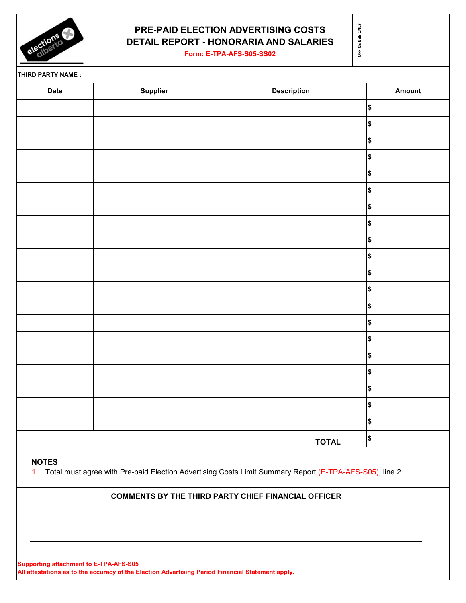

# **PRE-PAID ELECTION ADVERTISING COSTS DETAIL REPORT - HONORARIA AND SALARIES**

**OFFICE USE ONLY**

OFFICE USE ONLY

**Form: E-TPA-AFS-S05-SS02**

**THIRD PARTY NAME :**

| <b>ITING FAILIT IN STREET</b> |          |                    |                       |
|-------------------------------|----------|--------------------|-----------------------|
| <b>Date</b>                   | Supplier | <b>Description</b> | Amount                |
|                               |          |                    | \$                    |
|                               |          |                    | \$                    |
|                               |          |                    | \$                    |
|                               |          |                    | \$                    |
|                               |          |                    | \$                    |
|                               |          |                    | \$                    |
|                               |          |                    | \$                    |
|                               |          |                    | \$                    |
|                               |          |                    | \$                    |
|                               |          |                    | \$                    |
|                               |          |                    | \$                    |
|                               |          |                    | \$                    |
|                               |          |                    | \$                    |
|                               |          |                    | \$                    |
|                               |          |                    | \$                    |
|                               |          |                    | \$                    |
|                               |          |                    | $\blacktriangleright$ |
|                               |          |                    | \$                    |
|                               |          |                    | \$                    |
|                               |          |                    | \$                    |
|                               |          | <b>TOTAL</b>       | \$                    |
|                               |          |                    |                       |

**NOTES**

1. Total must agree with Pre-paid Election Advertising Costs Limit Summary Report (E-TPA-AFS-S05), line 2.

#### **COMMENTS BY THE THIRD PARTY CHIEF FINANCIAL OFFICER**

**Supporting attachment to E-TPA-AFS-S05 All attestations as to the accuracy of the Election Advertising Period Financial Statement apply.**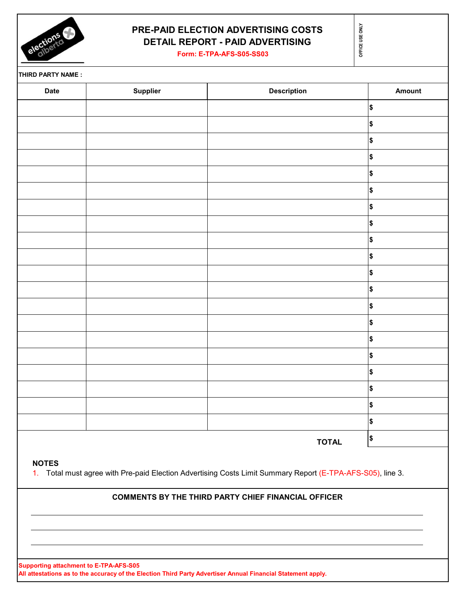

# **PRE-PAID ELECTION ADVERTISING COSTS DETAIL REPORT - PAID ADVERTISING**

**OFFICE USE ONLY**

OFFICE USE ONLY

**Form: E-TPA-AFS-S05-SS03**

**THIRD PARTY NAME :**

| Date | Supplier | <b>Description</b> | Amount     |
|------|----------|--------------------|------------|
|      |          |                    | $\pmb{\$}$ |
|      |          |                    | \$         |
|      |          |                    | $\pmb{\$}$ |
|      |          |                    | $\pmb{\$}$ |
|      |          |                    | $\pmb{\$}$ |
|      |          |                    | \$         |
|      |          |                    | \$         |
|      |          |                    | $\pmb{\$}$ |
|      |          |                    | \$         |
|      |          |                    | \$         |
|      |          |                    | \$         |
|      |          |                    | $\pmb{\$}$ |
|      |          |                    | $\pmb{\$}$ |
|      |          |                    | $\pmb{\$}$ |
|      |          |                    | $\pmb{\$}$ |
|      |          |                    | $\pmb{\$}$ |
|      |          |                    | $\pmb{\$}$ |
|      |          |                    | $\pmb{\$}$ |
|      |          |                    | \$         |
|      |          |                    | $\pmb{\$}$ |
|      |          | <b>TOTAL</b>       | \$         |
|      |          |                    |            |

**NOTES**

1. Total must agree with Pre-paid Election Advertising Costs Limit Summary Report (E-TPA-AFS-S05), line 3.

#### **COMMENTS BY THE THIRD PARTY CHIEF FINANCIAL OFFICER**

**Supporting attachment to E-TPA-AFS-S05 All attestations as to the accuracy of the Election Third Party Advertiser Annual Financial Statement apply.**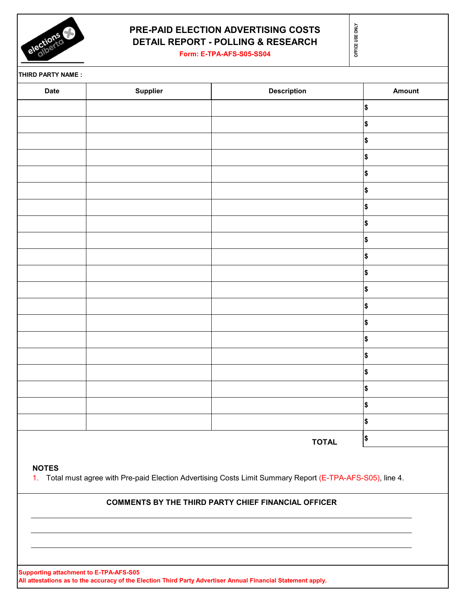

# **PRE-PAID ELECTION ADVERTISING COSTS DETAIL REPORT - POLLING & RESEARCH**

**Form: E-TPA-AFS-S05-SS04**

OFFICE USE ONLY **OFFICE USE ONLY**

**THIRD PARTY NAME :**

| <b>Date</b> | Supplier | <b>Description</b> | Amount         |
|-------------|----------|--------------------|----------------|
|             |          |                    | $\pmb{\$}$     |
|             |          |                    | \$             |
|             |          |                    | $\pmb{\$}$     |
|             |          |                    | $\pmb{\$}$     |
|             |          |                    | $$\mathsf{S}$$ |
|             |          |                    | $\pmb{\$}$     |
|             |          |                    | $$\mathsf{S}$$ |
|             |          |                    | $$\mathsf{S}$$ |
|             |          |                    | $\pmb{\$}$     |
|             |          |                    | $$\mathbb{S}$$ |
|             |          |                    | $$\mathsf{S}$$ |
|             |          |                    | $$\mathsf{S}$$ |
|             |          |                    | $$\mathsf{S}$$ |
|             |          |                    | $$\mathsf{S}$$ |
|             |          |                    | $$\mathsf{S}$$ |
|             |          |                    | $\pmb{\$}$     |
|             |          |                    | \$             |
|             |          |                    | $\pmb{\$}$     |
|             |          |                    | $\pmb{\$}$     |
|             |          |                    | $\pmb{\$}$     |
|             |          | <b>TOTAL</b>       | $\pmb{\$}$     |
|             |          |                    |                |

**NOTES**

1. Total must agree with Pre-paid Election Advertising Costs Limit Summary Report (E-TPA-AFS-S05), line 4.

## **COMMENTS BY THE THIRD PARTY CHIEF FINANCIAL OFFICER**

**Supporting attachment to E-TPA-AFS-S05**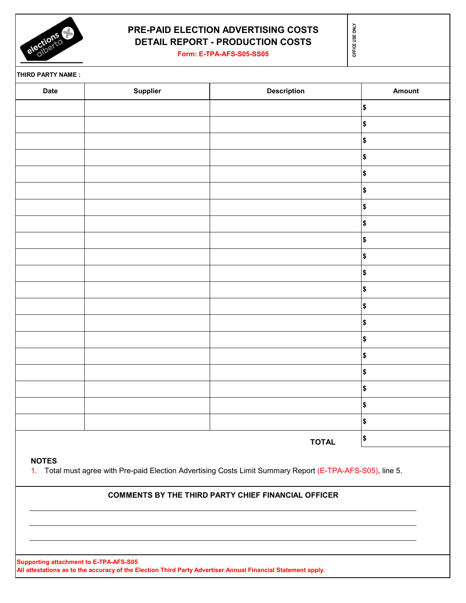

# **PRE-PAID ELECTION ADVERTISING COSTS DETAIL REPORT - PRODUCTION COSTS**

**Form: E-TPA-AFS-S05-SS05**

OFFICE USE ONLY **OFFICE USE ONLY**

**THIRD PARTY NAME :**

| <b>Date</b> | Supplier | <b>Description</b> | Amount         |
|-------------|----------|--------------------|----------------|
|             |          |                    | \$             |
|             |          |                    | $$\mathsf{S}$$ |
|             |          |                    | \$             |
|             |          |                    | \$             |
|             |          |                    | $\pmb{\$}$     |
|             |          |                    | \$             |
|             |          |                    | \$             |
|             |          |                    | $\pmb{\$}$     |
|             |          |                    | $\pmb{\$}$     |
|             |          |                    | $\pmb{\$}$     |
|             |          |                    | \$             |
|             |          |                    | \$             |
|             |          |                    | \$             |
|             |          |                    | $\pmb{\$}$     |
|             |          |                    | \$             |
|             |          |                    | \$             |
|             |          |                    | \$             |
|             |          |                    | \$             |
|             |          |                    | \$             |
|             |          |                    | $\pmb{\$}$     |
|             |          | <b>TOTAL</b>       | \$             |

1. Total must agree with Pre-paid Election Advertising Costs Limit Summary Report (E-TPA-AFS-S05), line 5.

### **COMMENTS BY THE THIRD PARTY CHIEF FINANCIAL OFFICER**

**Supporting attachment to E-TPA-AFS-S05**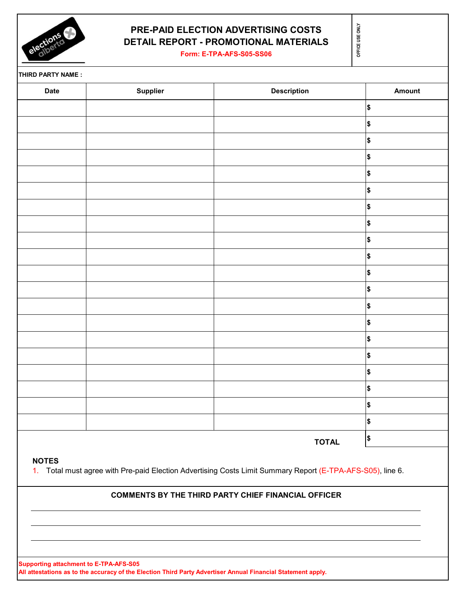

# **PRE-PAID ELECTION ADVERTISING COSTS DETAIL REPORT - PROMOTIONAL MATERIALS**

**Form: E-TPA-AFS-S05-SS06**

**OFFICE USE ONLY**

OFFICE USE ONLY

**THIRD PARTY NAME :**

| <b>Date</b> | Supplier | <b>Description</b> | Amount         |
|-------------|----------|--------------------|----------------|
|             |          |                    | $$\mathbb{S}$$ |
|             |          |                    | $$\mathbb{S}$$ |
|             |          |                    | $\pmb{\$}$     |
|             |          |                    | $\pmb{\$}$     |
|             |          |                    | $\pmb{\$}$     |
|             |          |                    | $\pmb{\$}$     |
|             |          |                    | $$\mathbb{S}$$ |
|             |          |                    | $$\mathbb{S}$$ |
|             |          |                    | $$\mathbb{S}$$ |
|             |          |                    | $\pmb{\$}$     |
|             |          |                    | $$\mathbb{S}$$ |
|             |          |                    | $$\mathbb{S}$$ |
|             |          |                    | $\pmb{\$}$     |
|             |          |                    | $$\mathbb{S}$$ |
|             |          |                    | $$\mathbb{S}$$ |
|             |          |                    | $$\mathbb{S}$$ |
|             |          |                    | $$\mathbb{S}$$ |
|             |          |                    | $\pmb{\$}$     |
|             |          |                    | $$\mathbb{S}$$ |
|             |          |                    | $$\mathbb{S}$$ |
|             |          | <b>TOTAL</b>       | \$             |

**NOTES**

1. Total must agree with Pre-paid Election Advertising Costs Limit Summary Report (E-TPA-AFS-S05), line 6.

### **COMMENTS BY THE THIRD PARTY CHIEF FINANCIAL OFFICER**

**Supporting attachment to E-TPA-AFS-S05**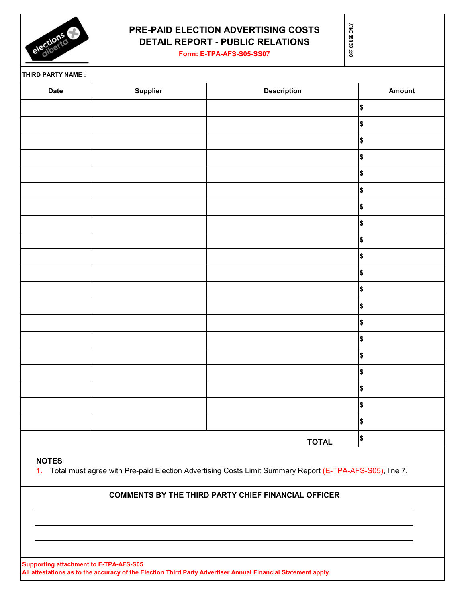

# **PRE-PAID ELECTION ADVERTISING COSTS DETAIL REPORT - PUBLIC RELATIONS**

**Form: E-TPA-AFS-S05-SS07**

OFFICE USE ONLY **OFFICE USE ONLY**

**THIRD PARTY NAME :**

| <b>Date</b> | <b>Supplier</b> | <b>Description</b> | <b>Amount</b> |
|-------------|-----------------|--------------------|---------------|
|             |                 |                    | \$            |
|             |                 |                    | \$            |
|             |                 |                    | \$            |
|             |                 |                    | \$            |
|             |                 |                    | \$            |
|             |                 |                    | \$            |
|             |                 |                    | \$            |
|             |                 |                    | \$            |
|             |                 |                    | \$            |
|             |                 |                    | \$            |
|             |                 |                    | \$            |
|             |                 |                    | \$            |
|             |                 |                    | \$            |
|             |                 |                    | \$            |
|             |                 |                    | \$            |
|             |                 |                    | \$            |
|             |                 |                    | \$            |
|             |                 |                    | \$            |
|             |                 |                    | \$            |
|             |                 |                    | \$            |
|             |                 | <b>TOTAL</b>       | $\pmb{\$}$    |

### **COMMENTS BY THE THIRD PARTY CHIEF FINANCIAL OFFICER**

**Supporting attachment to E-TPA-AFS-S05**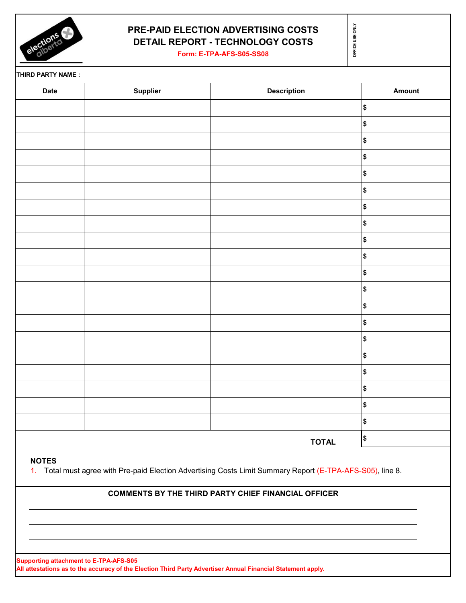

# **PRE-PAID ELECTION ADVERTISING COSTS DETAIL REPORT - TECHNOLOGY COSTS**

**Form: E-TPA-AFS-S05-SS08**

**THIRD PARTY NAME :**

| Date | Supplier | <b>Description</b> | Amount         |
|------|----------|--------------------|----------------|
|      |          |                    | $\pmb{\$}$     |
|      |          |                    | $\pmb{\$}$     |
|      |          |                    | \$             |
|      |          |                    | $\pmb{\$}$     |
|      |          |                    | $$\mathsf{S}$$ |
|      |          |                    | \$             |
|      |          |                    | $\pmb{\$}$     |
|      |          |                    | \$             |
|      |          |                    | \$             |
|      |          |                    | $\pmb{\$}$     |
|      |          |                    | \$             |
|      |          |                    | \$             |
|      |          |                    | $\pmb{\$}$     |
|      |          |                    | $\pmb{\$}$     |
|      |          |                    | \$             |
|      |          |                    | $\pmb{\$}$     |
|      |          |                    | $\pmb{\$}$     |
|      |          |                    | $\pmb{\$}$     |
|      |          |                    | $\pmb{\$}$     |
|      |          |                    | $\pmb{\$}$     |
|      |          | <b>TOTAL</b>       | \$             |
|      |          |                    |                |

### **NOTES**

1. Total must agree with Pre-paid Election Advertising Costs Limit Summary Report (E-TPA-AFS-S05), line 8.

### **COMMENTS BY THE THIRD PARTY CHIEF FINANCIAL OFFICER**

**Supporting attachment to E-TPA-AFS-S05 All attestations as to the accuracy of the Election Third Party Advertiser Annual Financial Statement apply.**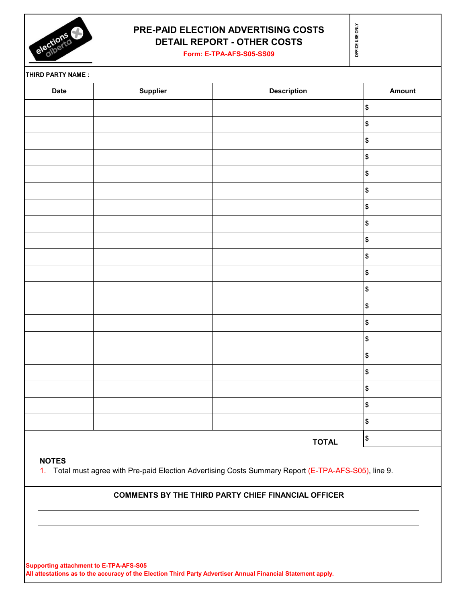

## **PRE-PAID ELECTION ADVERTISING COSTS DETAIL REPORT - OTHER COSTS**

**Form: E-TPA-AFS-S05-SS09**

OFFICE USE ONLY **OFFICE USE ONLY**

**THIRD PARTY NAME :**

|              | $$\mathsf{S}$$<br>\$<br>\$                                                                                                                                      |
|--------------|-----------------------------------------------------------------------------------------------------------------------------------------------------------------|
|              |                                                                                                                                                                 |
|              |                                                                                                                                                                 |
|              |                                                                                                                                                                 |
|              | $\pmb{\$}$                                                                                                                                                      |
|              | \$                                                                                                                                                              |
|              | \$                                                                                                                                                              |
|              | \$                                                                                                                                                              |
|              | \$                                                                                                                                                              |
|              | $\pmb{\$}$                                                                                                                                                      |
|              | $\pmb{\$}$                                                                                                                                                      |
|              | \$                                                                                                                                                              |
|              | $\pmb{\$}$                                                                                                                                                      |
|              | \$                                                                                                                                                              |
|              | \$                                                                                                                                                              |
|              | $\pmb{\$}$                                                                                                                                                      |
|              | \$                                                                                                                                                              |
|              | $\pmb{\$}$                                                                                                                                                      |
|              | \$                                                                                                                                                              |
|              | \$                                                                                                                                                              |
|              | $$\mathsf{\$}$                                                                                                                                                  |
| <b>TOTAL</b> | \$                                                                                                                                                              |
|              |                                                                                                                                                                 |
|              | Total must agree with Pre-paid Election Advertising Costs Summary Report (E-TPA-AFS-S05), line 9.<br><b>COMMENTS BY THE THIRD PARTY CHIEF FINANCIAL OFFICER</b> |

**Supporting attachment to E-TPA-AFS-S05 All attestations as to the accuracy of the Election Third Party Advertiser Annual Financial Statement apply.**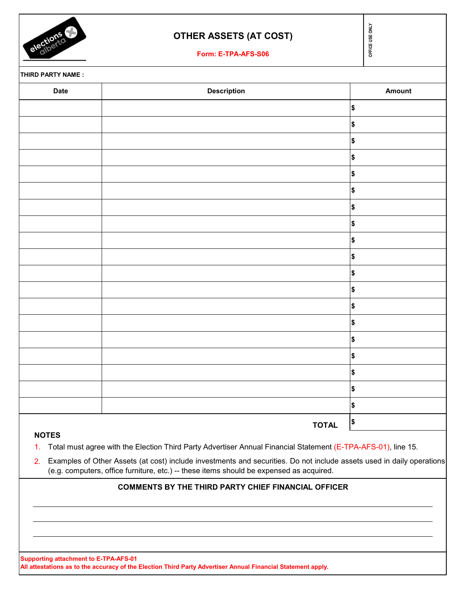

## **OTHER ASSETS (AT COST)**

**Form: E-TPA-AFS-S06**

OFFICE USE ONLY **OFFICE USE ONLY**

**THIRD PARTY NAME :**

| Date | <b>Description</b> | Amount         |
|------|--------------------|----------------|
|      |                    | $$\mathsf{S}$$ |
|      |                    | $\pmb{\$}$     |
|      |                    | $\pmb{\$}$     |
|      |                    | $\pmb{\$}$     |
|      |                    | $\pmb{\$}$     |
|      |                    | $$\mathsf{S}$$ |
|      |                    | $\pmb{\$}$     |
|      |                    | $\pmb{\$}$     |
|      |                    | $$\mathsf{S}$$ |
|      |                    | $$\mathsf{S}$$ |
|      |                    | $$\mathsf{S}$$ |
|      |                    | $$\mathsf{S}$$ |
|      |                    | $\pmb{\$}$     |
|      |                    | $$\mathsf{S}$$ |
|      |                    | $$\mathsf{S}$$ |
|      |                    | $\pmb{\$}$     |
|      |                    | $\pmb{\$}$     |
|      |                    | $$\mathsf{S}$$ |
|      |                    | $$\mathsf{S}$$ |
|      | <b>TOTAL</b>       | \$             |

### **NOTES**

1. Total must agree with the Election Third Party Advertiser Annual Financial Statement (E-TPA-AFS-01), line 15.

2. Examples of Other Assets (at cost) include investments and securities. Do not include assets used in daily operations (e.g. computers, office furniture, etc.) -- these items should be expensed as acquired.

#### **COMMENTS BY THE THIRD PARTY CHIEF FINANCIAL OFFICER**

**Supporting attachment to E-TPA-AFS-01**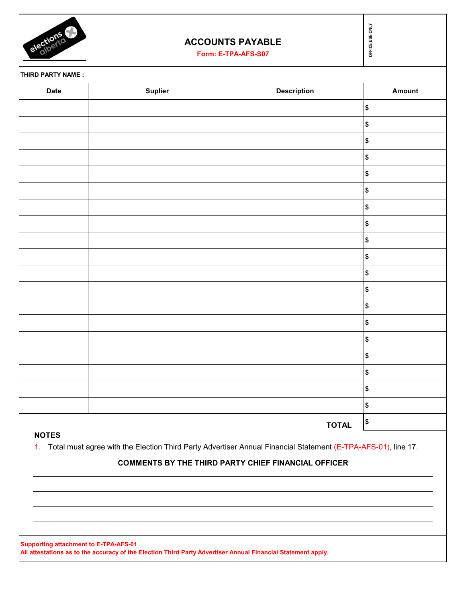

## **ACCOUNTS PAYABLE**

| elections         | <b>ACCOUNTS PAYABLE</b><br>Form: E-TPA-AFS-S07 |                                                                                                                  | OFFICE USE ONLY   |
|-------------------|------------------------------------------------|------------------------------------------------------------------------------------------------------------------|-------------------|
| THIRD PARTY NAME: |                                                |                                                                                                                  |                   |
| <b>Date</b>       | <b>Suplier</b>                                 | <b>Description</b>                                                                                               | Amount            |
|                   |                                                |                                                                                                                  | \$                |
|                   |                                                |                                                                                                                  | \$                |
|                   |                                                |                                                                                                                  | \$                |
|                   |                                                |                                                                                                                  | \$                |
|                   |                                                |                                                                                                                  | \$                |
|                   |                                                |                                                                                                                  | \$                |
|                   |                                                |                                                                                                                  | \$                |
|                   |                                                |                                                                                                                  | \$                |
|                   |                                                |                                                                                                                  | \$                |
|                   |                                                |                                                                                                                  | \$                |
|                   |                                                |                                                                                                                  | \$                |
|                   |                                                |                                                                                                                  | \$                |
|                   |                                                |                                                                                                                  | \$                |
|                   |                                                |                                                                                                                  | \$                |
|                   |                                                |                                                                                                                  | \$                |
|                   |                                                |                                                                                                                  | \$                |
|                   |                                                |                                                                                                                  | $\frac{1}{2}$     |
|                   |                                                |                                                                                                                  | $\boldsymbol{\$}$ |
|                   |                                                |                                                                                                                  | \$                |
|                   |                                                | <b>TOTAL</b>                                                                                                     | \$                |
| <b>NOTES</b>      |                                                | 1. Total must agree with the Election Third Party Advertiser Annual Financial Statement (E-TPA-AFS-01), line 17. |                   |

### **COMMENTS BY THE THIRD PARTY CHIEF FINANCIAL OFFICER**

**Supporting attachment to E-TPA-AFS-01 All attestations as to the accuracy of the Election Third Party Advertiser Annual Financial Statement apply.**